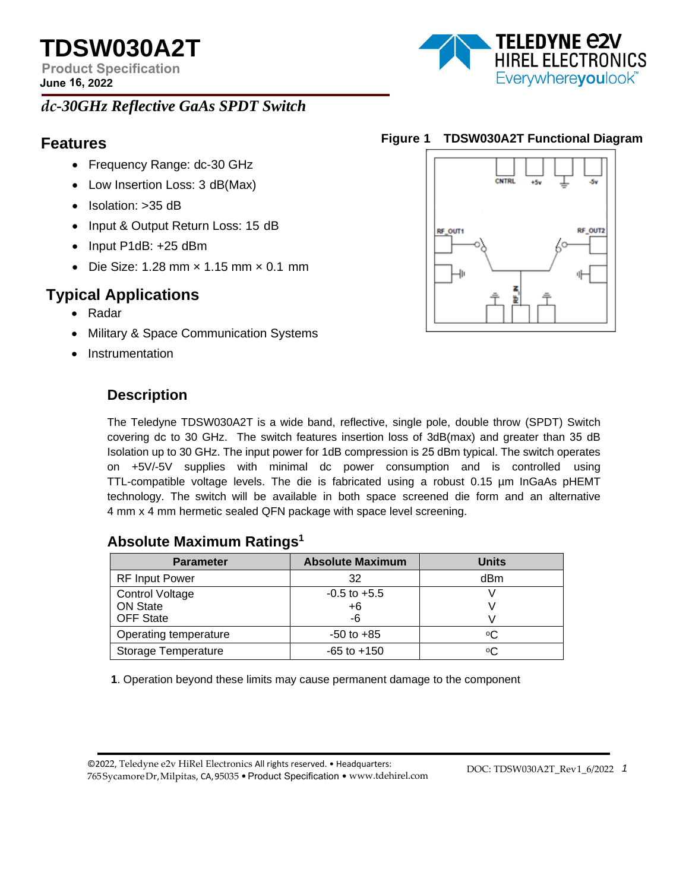**TDSW030A2T** 

**Product Specification June 16, 2022** 

# *dc-30GHz Reflective GaAs SPDT Switch*

- Frequency Range: dc-30 GHz
- Low Insertion Loss: 3 dB(Max)
- Isolation: > 35 dB
- Input & Output Return Loss: 15 dB
- Input P1dB: +25 dBm
- Die Size: 1.28 mm  $\times$  1.15 mm  $\times$  0.1 mm

# **Typical Applications**

- Radar
- Military & Space Communication Systems
- Instrumentation

# **Description**

**Features Figure 1 TDSW030A2T Functional Diagram**



The Teledyne TDSW030A2T is a wide band, reflective, single pole, double throw (SPDT) Switch covering dc to 30 GHz. The switch features insertion loss of 3dB(max) and greater than 35 dB Isolation up to 30 GHz. The input power for 1dB compression is 25 dBm typical. The switch operates on +5V/-5V supplies with minimal dc power consumption and is controlled using TTL-compatible voltage levels. The die is fabricated using a robust 0.15 µm InGaAs pHEMT technology. The switch will be available in both space screened die form and an alternative 4 mm x 4 mm hermetic sealed QFN package with space level screening.

## **Absolute Maximum Ratings<sup>1</sup>**

| <b>Parameter</b>       | <b>Absolute Maximum</b> | <b>Units</b> |
|------------------------|-------------------------|--------------|
| <b>RF Input Power</b>  | 32                      | dBm          |
| <b>Control Voltage</b> | $-0.5$ to $+5.5$        |              |
| <b>ON State</b>        | +6                      |              |
| <b>OFF State</b>       | -6                      |              |
| Operating temperature  | $-50$ to $+85$          | ٥C           |
| Storage Temperature    | $-65$ to $+150$         | ٥C           |

**1**. Operation beyond these limits may cause permanent damage to the component

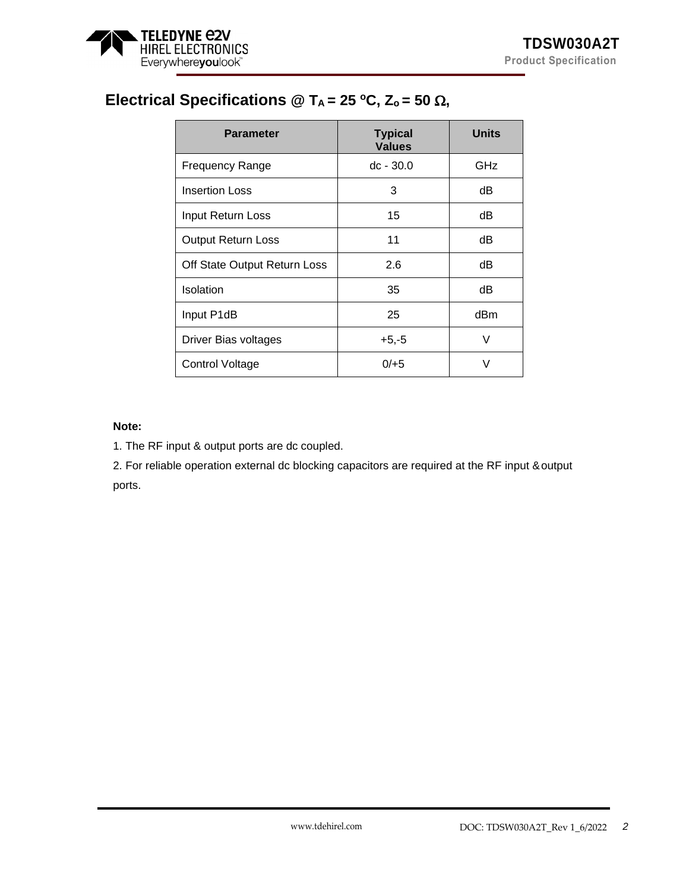

# **Electrical Specifications @ TA = 25 <sup>o</sup>C, Zo = 50** Ω**,**

| <b>Parameter</b>             | <b>Typical</b><br><b>Values</b> | <b>Units</b> |
|------------------------------|---------------------------------|--------------|
| <b>Frequency Range</b>       | $dc - 30.0$                     | GHz          |
| <b>Insertion Loss</b>        | 3                               | dB           |
| Input Return Loss            | 15                              | dB           |
| <b>Output Return Loss</b>    | 11                              | dB           |
| Off State Output Return Loss | 2.6                             | dB           |
| Isolation                    | 35                              | dB           |
| Input P1dB                   | 25                              | dBm          |
| Driver Bias voltages         | $+5,-5$                         | V            |
| Control Voltage              | $0/+5$<br>V                     |              |

## **Note:**

1. The RF input & output ports are dc coupled.

2. For reliable operation external dc blocking capacitors are required at the RF input &output ports.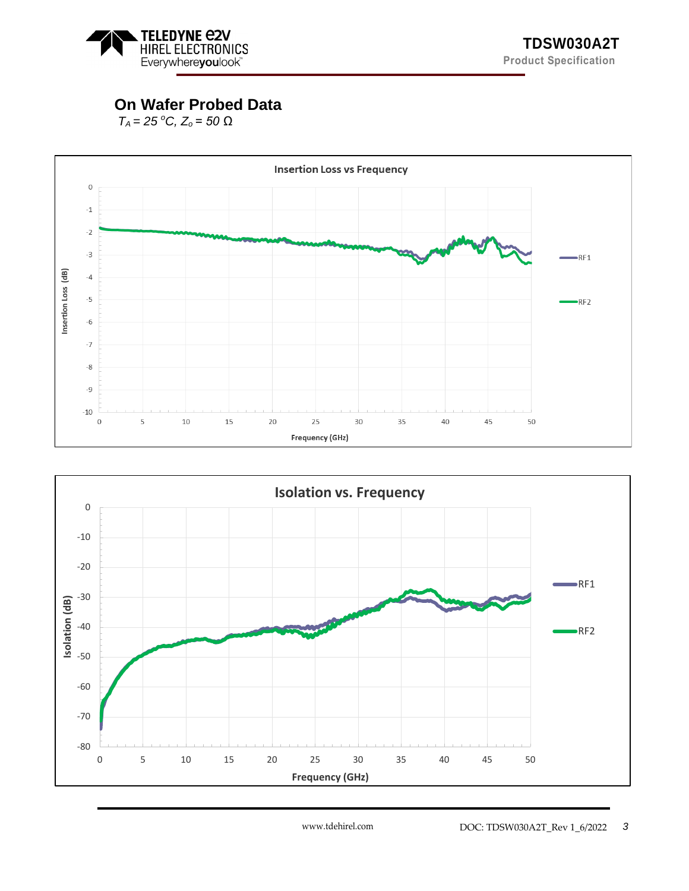

# **On Wafer Probed Data**

*TA = 25 <sup>o</sup>C, Z<sup>o</sup> = 50 Ω*



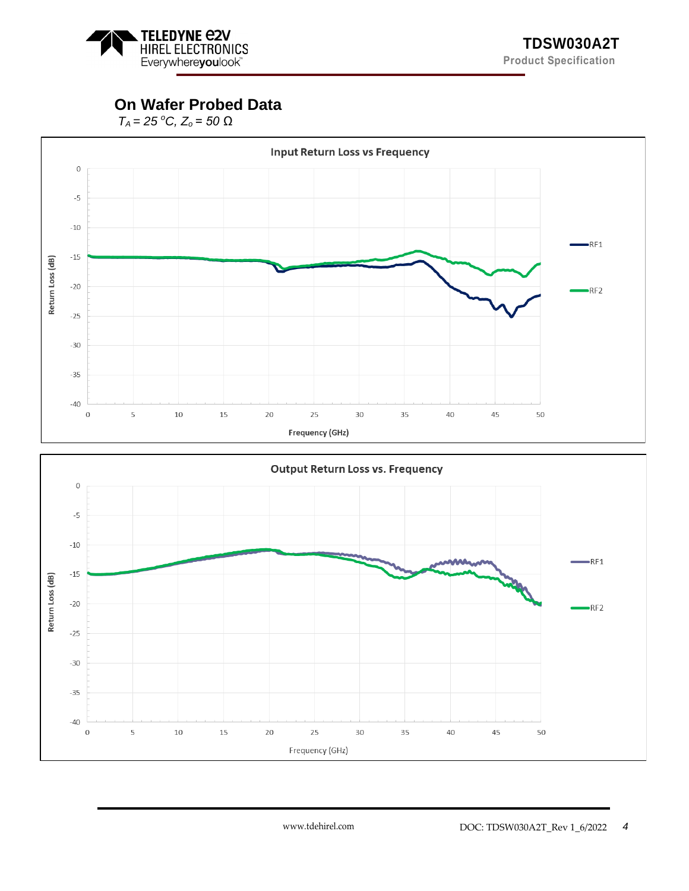

# **On Wafer Probed Data**

*TA = 25 <sup>o</sup>C, Z<sup>o</sup> = 50 Ω*



Frequency (GHz)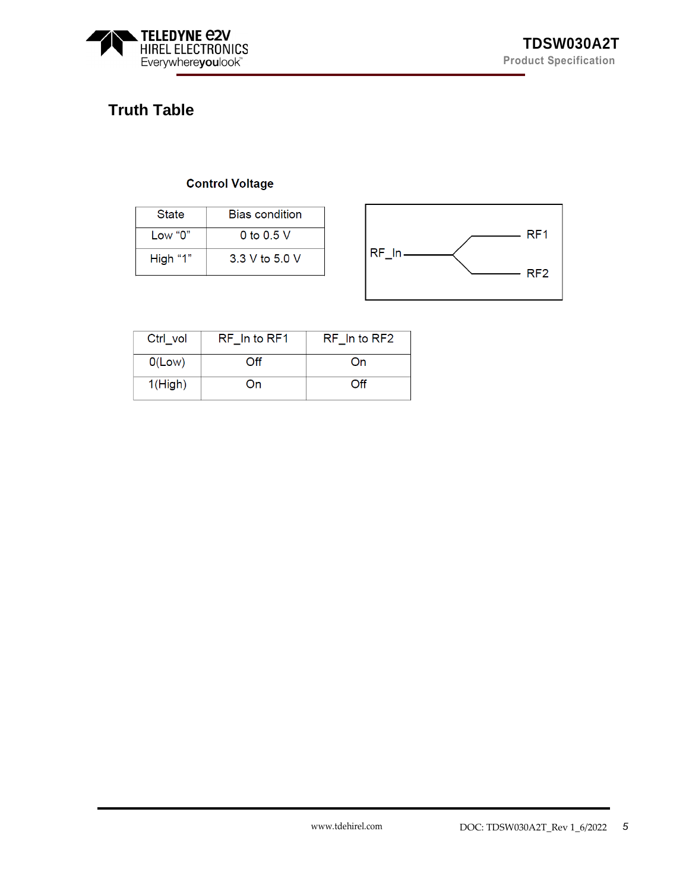

# **Truth Table**

## **Control Voltage**

| State    | <b>Bias condition</b> |  |
|----------|-----------------------|--|
| Low "0"  | 0 to 0.5 V            |  |
| High "1" | 3 3 V to 5 0 V        |  |



| Ctrl vol      | RF In to RF1 | RF In to RF2 |
|---------------|--------------|--------------|
| O(Low)        | ∩ff          | On           |
| 1(High)<br>On |              | ∩ff          |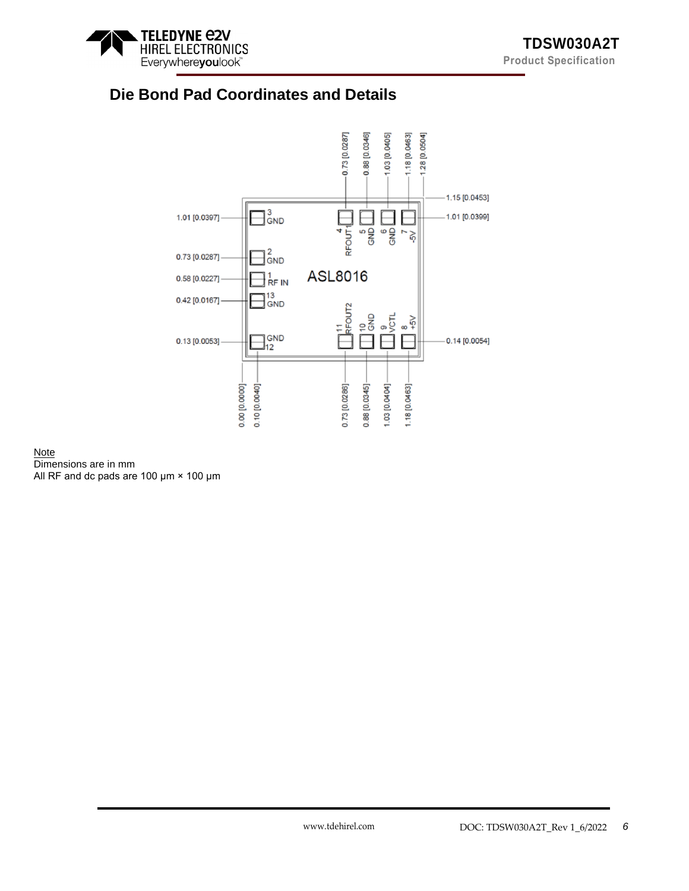

# **Die Bond Pad Coordinates and Details**



## **Note** Dimensions are in mm

All RF and dc pads are 100 μm × 100 μm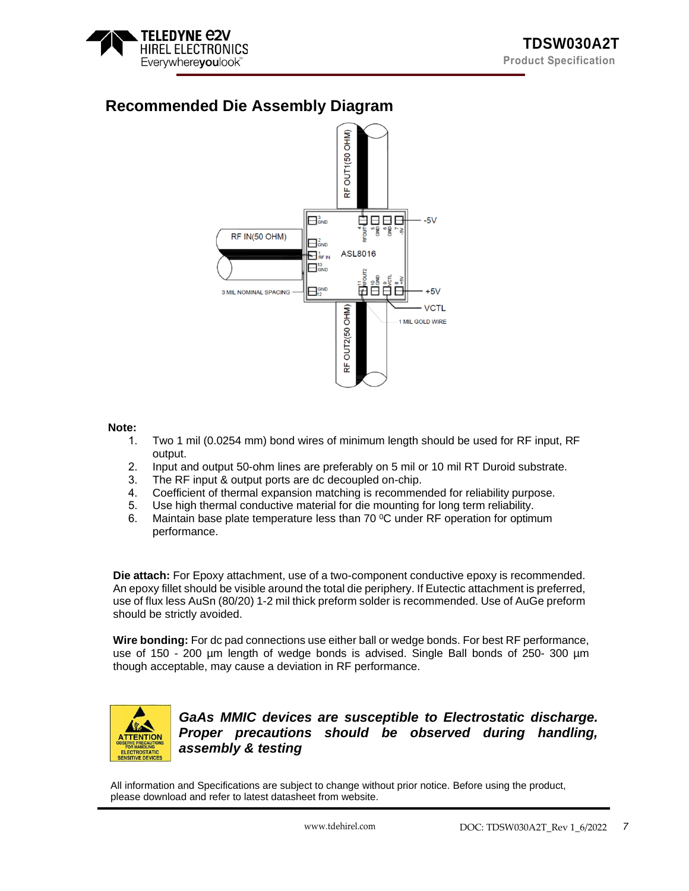

# **Recommended Die Assembly Diagram**



### **Note:**

- 1. Two 1 mil (0.0254 mm) bond wires of minimum length should be used for RF input, RF output.
- 2. Input and output 50-ohm lines are preferably on 5 mil or 10 mil RT Duroid substrate.
- 3. The RF input & output ports are dc decoupled on-chip.
- 4. Coefficient of thermal expansion matching is recommended for reliability purpose.
- 5. Use high thermal conductive material for die mounting for long term reliability.
- 6. Maintain base plate temperature less than 70 °C under RF operation for optimum performance.

**Die attach:** For Epoxy attachment, use of a two-component conductive epoxy is recommended. An epoxy fillet should be visible around the total die periphery. If Eutectic attachment is preferred, use of flux less AuSn (80/20) 1-2 mil thick preform solder is recommended. Use of AuGe preform should be strictly avoided.

**Wire bonding:** For dc pad connections use either ball or wedge bonds. For best RF performance, use of 150 - 200 um length of wedge bonds is advised. Single Ball bonds of 250- 300 um though acceptable, may cause a deviation in RF performance.



*GaAs MMIC devices are susceptible to Electrostatic discharge. Proper precautions should be observed during handling, assembly & testing*

All information and Specifications are subject to change without prior notice. Before using the product, please download and refer to latest datasheet from website.